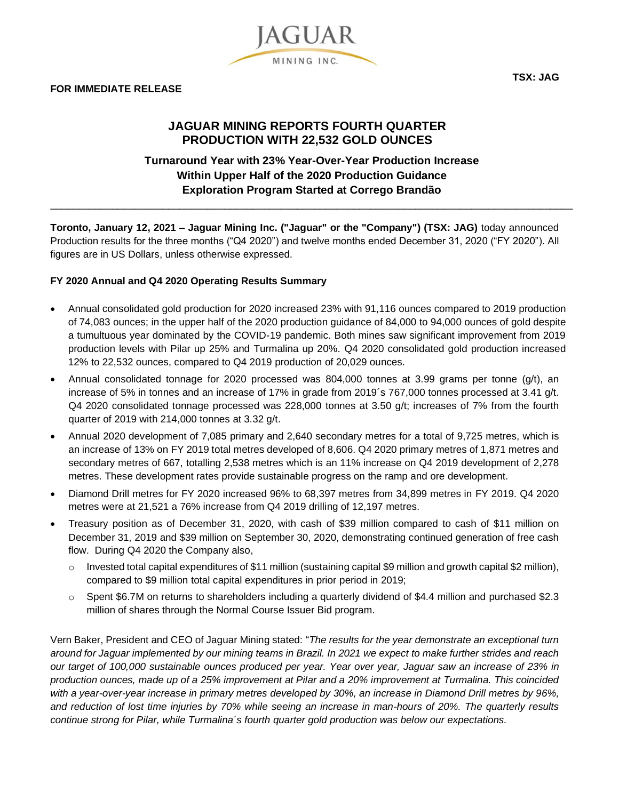

# **JAGUAR MINING REPORTS FOURTH QUARTER PRODUCTION WITH 22,532 GOLD OUNCES**

**JAGUAR** 

MINING INC.

# **Turnaround Year with 23% Year-Over-Year Production Increase Within Upper Half of the 2020 Production Guidance Exploration Program Started at Corrego Brandão**

 $\_$  ,  $\_$  ,  $\_$  ,  $\_$  ,  $\_$  ,  $\_$  ,  $\_$  ,  $\_$  ,  $\_$  ,  $\_$  ,  $\_$  ,  $\_$  ,  $\_$  ,  $\_$  ,  $\_$  ,  $\_$  ,  $\_$  ,  $\_$  ,  $\_$  ,  $\_$  ,  $\_$  ,  $\_$  ,  $\_$  ,  $\_$  ,  $\_$  ,  $\_$  ,  $\_$  ,  $\_$  ,  $\_$  ,  $\_$  ,  $\_$  ,  $\_$  ,  $\_$  ,  $\_$  ,  $\_$  ,  $\_$  ,  $\_$  ,

**Toronto, January 12, 2021 – Jaguar Mining Inc. ("Jaguar" or the "Company") (TSX: JAG)** today announced Production results for the three months ("Q4 2020") and twelve months ended December 31, 2020 ("FY 2020"). All figures are in US Dollars, unless otherwise expressed.

## **FY 2020 Annual and Q4 2020 Operating Results Summary**

- Annual consolidated gold production for 2020 increased 23% with 91,116 ounces compared to 2019 production of 74,083 ounces; in the upper half of the 2020 production guidance of 84,000 to 94,000 ounces of gold despite a tumultuous year dominated by the COVID-19 pandemic. Both mines saw significant improvement from 2019 production levels with Pilar up 25% and Turmalina up 20%. Q4 2020 consolidated gold production increased 12% to 22,532 ounces, compared to Q4 2019 production of 20,029 ounces.
- Annual consolidated tonnage for 2020 processed was 804,000 tonnes at 3.99 grams per tonne (g/t), an increase of 5% in tonnes and an increase of 17% in grade from 2019´s 767,000 tonnes processed at 3.41 g/t. Q4 2020 consolidated tonnage processed was 228,000 tonnes at 3.50 g/t; increases of 7% from the fourth quarter of 2019 with 214,000 tonnes at 3.32 g/t.
- Annual 2020 development of 7,085 primary and 2,640 secondary metres for a total of 9,725 metres, which is an increase of 13% on FY 2019 total metres developed of 8,606. Q4 2020 primary metres of 1,871 metres and secondary metres of 667, totalling 2,538 metres which is an 11% increase on Q4 2019 development of 2,278 metres. These development rates provide sustainable progress on the ramp and ore development.
- Diamond Drill metres for FY 2020 increased 96% to 68,397 metres from 34,899 metres in FY 2019. Q4 2020 metres were at 21,521 a 76% increase from Q4 2019 drilling of 12,197 metres.
- Treasury position as of December 31, 2020, with cash of \$39 million compared to cash of \$11 million on December 31, 2019 and \$39 million on September 30, 2020, demonstrating continued generation of free cash flow. During Q4 2020 the Company also,
	- $\circ$  Invested total capital expenditures of \$11 million (sustaining capital \$9 million and growth capital \$2 million), compared to \$9 million total capital expenditures in prior period in 2019;
	- $\circ$  Spent \$6.7M on returns to shareholders including a quarterly dividend of \$4.4 million and purchased \$2.3 million of shares through the Normal Course Issuer Bid program.

Vern Baker, President and CEO of Jaguar Mining stated: "*The results for the year demonstrate an exceptional turn around for Jaguar implemented by our mining teams in Brazil. In 2021 we expect to make further strides and reach our target of 100,000 sustainable ounces produced per year. Year over year, Jaguar saw an increase of 23% in production ounces, made up of a 25% improvement at Pilar and a 20% improvement at Turmalina. This coincided with a year-over-year increase in primary metres developed by 30%, an increase in Diamond Drill metres by 96%, and reduction of lost time injuries by 70% while seeing an increase in man-hours of 20%. The quarterly results continue strong for Pilar, while Turmalina´s fourth quarter gold production was below our expectations.*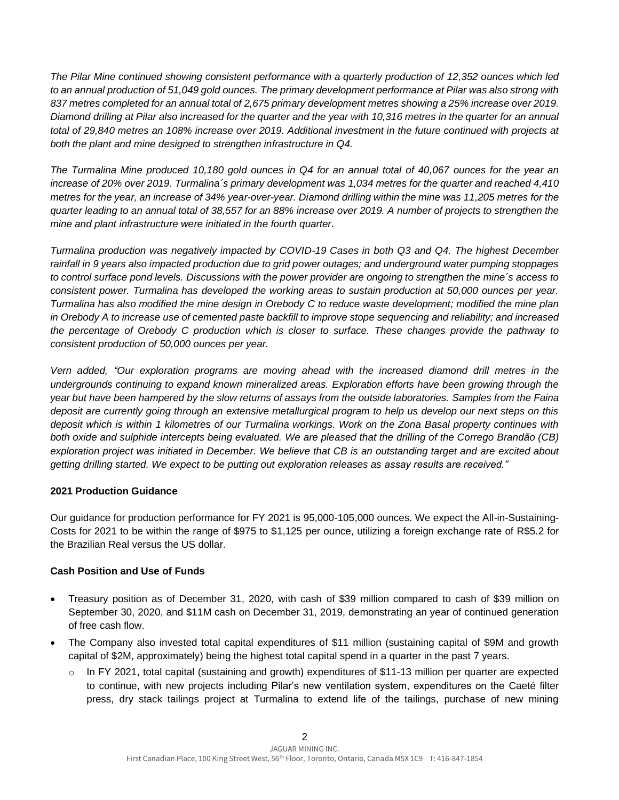*The Pilar Mine continued showing consistent performance with a quarterly production of 12,352 ounces which led to an annual production of 51,049 gold ounces. The primary development performance at Pilar was also strong with 837 metres completed for an annual total of 2,675 primary development metres showing a 25% increase over 2019. Diamond drilling at Pilar also increased for the quarter and the year with 10,316 metres in the quarter for an annual total of 29,840 metres an 108% increase over 2019. Additional investment in the future continued with projects at both the plant and mine designed to strengthen infrastructure in Q4.* 

*The Turmalina Mine produced 10,180 gold ounces in Q4 for an annual total of 40,067 ounces for the year an increase of 20% over 2019. Turmalina´s primary development was 1,034 metres for the quarter and reached 4,410 metres for the year, an increase of 34% year-over-year. Diamond drilling within the mine was 11,205 metres for the quarter leading to an annual total of 38,557 for an 88% increase over 2019. A number of projects to strengthen the mine and plant infrastructure were initiated in the fourth quarter.*

*Turmalina production was negatively impacted by COVID-19 Cases in both Q3 and Q4. The highest December rainfall in 9 years also impacted production due to grid power outages; and underground water pumping stoppages to control surface pond levels. Discussions with the power provider are ongoing to strengthen the mine´s access to consistent power. Turmalina has developed the working areas to sustain production at 50,000 ounces per year. Turmalina has also modified the mine design in Orebody C to reduce waste development; modified the mine plan in Orebody A to increase use of cemented paste backfill to improve stope sequencing and reliability; and increased the percentage of Orebody C production which is closer to surface. These changes provide the pathway to consistent production of 50,000 ounces per year.* 

*Vern added, "Our exploration programs are moving ahead with the increased diamond drill metres in the undergrounds continuing to expand known mineralized areas. Exploration efforts have been growing through the year but have been hampered by the slow returns of assays from the outside laboratories. Samples from the Faina deposit are currently going through an extensive metallurgical program to help us develop our next steps on this deposit which is within 1 kilometres of our Turmalina workings. Work on the Zona Basal property continues with both oxide and sulphide intercepts being evaluated. We are pleased that the drilling of the Corrego Brandão (CB) exploration project was initiated in December. We believe that CB is an outstanding target and are excited about getting drilling started. We expect to be putting out exploration releases as assay results are received."*

## **2021 Production Guidance**

Our guidance for production performance for FY 2021 is 95,000-105,000 ounces. We expect the All-in-Sustaining-Costs for 2021 to be within the range of \$975 to \$1,125 per ounce, utilizing a foreign exchange rate of R\$5.2 for the Brazilian Real versus the US dollar.

#### **Cash Position and Use of Funds**

- Treasury position as of December 31, 2020, with cash of \$39 million compared to cash of \$39 million on September 30, 2020, and \$11M cash on December 31, 2019, demonstrating an year of continued generation of free cash flow.
- The Company also invested total capital expenditures of \$11 million (sustaining capital of \$9M and growth capital of \$2M, approximately) being the highest total capital spend in a quarter in the past 7 years.
	- o In FY 2021, total capital (sustaining and growth) expenditures of \$11-13 million per quarter are expected to continue, with new projects including Pilar's new ventilation system, expenditures on the Caeté filter press, dry stack tailings project at Turmalina to extend life of the tailings, purchase of new mining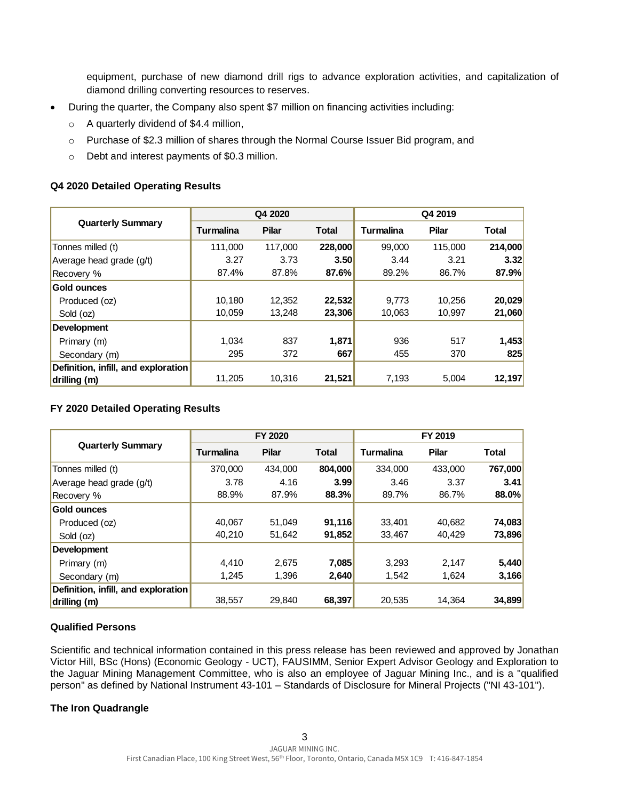equipment, purchase of new diamond drill rigs to advance exploration activities, and capitalization of diamond drilling converting resources to reserves.

- During the quarter, the Company also spent \$7 million on financing activities including:
	- $\circ$  A quarterly dividend of \$4.4 million,
	- o Purchase of \$2.3 million of shares through the Normal Course Issuer Bid program, and
	- o Debt and interest payments of \$0.3 million.

### **Q4 2020 Detailed Operating Results**

| <b>Quarterly Summary</b>            | Q4 2020   |              |              | Q4 2019          |              |         |
|-------------------------------------|-----------|--------------|--------------|------------------|--------------|---------|
|                                     | Turmalina | <b>Pilar</b> | <b>Total</b> | <b>Turmalina</b> | <b>Pilar</b> | Total   |
| Tonnes milled (t)                   | 111,000   | 117,000      | 228,000      | 99,000           | 115,000      | 214,000 |
| Average head grade (g/t)            | 3.27      | 3.73         | 3.50         | 3.44             | 3.21         | 3.32    |
| Recovery %                          | 87.4%     | 87.8%        | 87.6%        | 89.2%            | 86.7%        | 87.9%   |
| <b>Gold ounces</b>                  |           |              |              |                  |              |         |
| Produced (oz)                       | 10.180    | 12.352       | 22,532       | 9.773            | 10,256       | 20,029  |
| Sold (oz)                           | 10,059    | 13.248       | 23,306       | 10,063           | 10,997       | 21,060  |
| <b>Development</b>                  |           |              |              |                  |              |         |
| Primary (m)                         | 1.034     | 837          | 1,871        | 936              | 517          | 1,453   |
| Secondary (m)                       | 295       | 372          | 667          | 455              | 370          | 825     |
| Definition, infill, and exploration |           |              |              |                  |              |         |
| drilling (m)                        | 11,205    | 10,316       | 21,521       | 7,193            | 5,004        | 12,197  |

## **FY 2020 Detailed Operating Results**

| <b>Quarterly Summary</b>            | FY 2020          |              |              | FY 2019          |              |              |
|-------------------------------------|------------------|--------------|--------------|------------------|--------------|--------------|
|                                     | <b>Turmalina</b> | <b>Pilar</b> | <b>Total</b> | <b>Turmalina</b> | <b>Pilar</b> | <b>Total</b> |
| Tonnes milled (t)                   | 370,000          | 434,000      | 804,000      | 334.000          | 433,000      | 767,000      |
| Average head grade (g/t)            | 3.78             | 4.16         | 3.99         | 3.46             | 3.37         | 3.41         |
| Recovery %                          | 88.9%            | 87.9%        | 88.3%        | 89.7%            | 86.7%        | 88.0%        |
| <b>Gold ounces</b>                  |                  |              |              |                  |              |              |
| Produced (oz)                       | 40,067           | 51,049       | 91,116       | 33.401           | 40,682       | 74,083       |
| Sold (oz)                           | 40.210           | 51,642       | 91,852       | 33,467           | 40.429       | 73,896       |
| <b>Development</b>                  |                  |              |              |                  |              |              |
| Primary (m)                         | 4.410            | 2.675        | 7,085        | 3.293            | 2.147        | 5,440        |
| Secondary (m)                       | 1,245            | 1,396        | 2,640        | 1,542            | 1,624        | 3,166        |
| Definition, infill, and exploration |                  |              |              |                  |              |              |
| drilling (m)                        | 38,557           | 29,840       | 68,397       | 20,535           | 14.364       | 34,899       |

## **Qualified Persons**

Scientific and technical information contained in this press release has been reviewed and approved by Jonathan Victor Hill, BSc (Hons) (Economic Geology - UCT), FAUSIMM, Senior Expert Advisor Geology and Exploration to the Jaguar Mining Management Committee, who is also an employee of Jaguar Mining Inc., and is a "qualified person" as defined by National Instrument 43-101 – Standards of Disclosure for Mineral Projects ("NI 43-101").

#### **The Iron Quadrangle**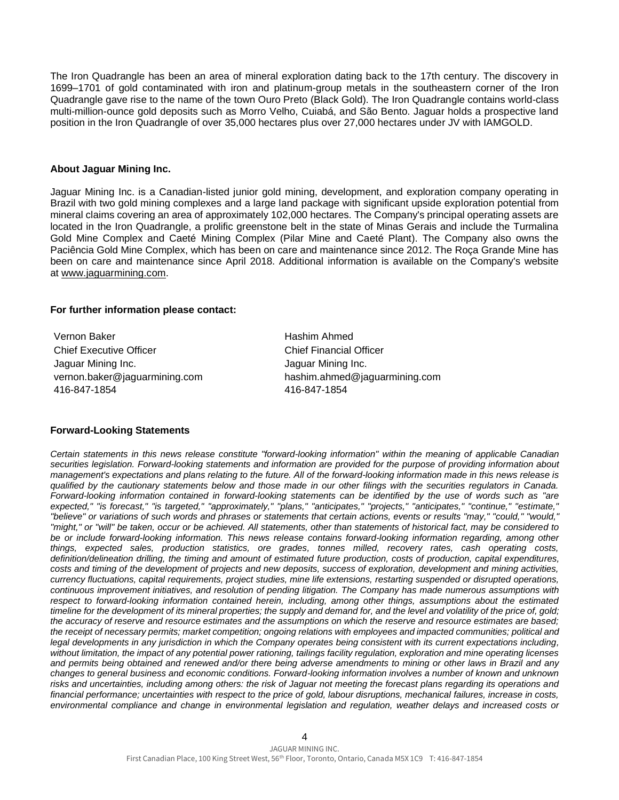The Iron Quadrangle has been an area of mineral exploration dating back to the 17th century. The discovery in 1699–1701 of gold contaminated with iron and platinum-group metals in the southeastern corner of the Iron Quadrangle gave rise to the name of the town Ouro Preto (Black Gold). The Iron Quadrangle contains world-class multi-million-ounce gold deposits such as Morro Velho, Cuiabá, and São Bento. Jaguar holds a prospective land position in the Iron Quadrangle of over 35,000 hectares plus over 27,000 hectares under JV with IAMGOLD.

#### **About Jaguar Mining Inc.**

Jaguar Mining Inc. is a Canadian-listed junior gold mining, development, and exploration company operating in Brazil with two gold mining complexes and a large land package with significant upside exploration potential from mineral claims covering an area of approximately 102,000 hectares. The Company's principal operating assets are located in the Iron Quadrangle, a prolific greenstone belt in the state of Minas Gerais and include the Turmalina Gold Mine Complex and Caeté Mining Complex (Pilar Mine and Caeté Plant). The Company also owns the Paciência Gold Mine Complex, which has been on care and maintenance since 2012. The Roça Grande Mine has been on care and maintenance since April 2018. Additional information is available on the Company's website at [www.jaguarmining.com.](https://jaguarmining.com/)

#### **For further information please contact:**

Vernon Baker Chief Executive Officer Jaguar Mining Inc. vernon.baker@jaguarmining.com 416-847-1854

Hashim Ahmed Chief Financial Officer Jaguar Mining Inc. hashim.ahmed@jaguarmining.com 416-847-1854

#### **Forward-Looking Statements**

*Certain statements in this news release constitute "forward-looking information" within the meaning of applicable Canadian securities legislation. Forward-looking statements and information are provided for the purpose of providing information about management's expectations and plans relating to the future. All of the forward-looking information made in this news release is qualified by the cautionary statements below and those made in our other filings with the securities regulators in Canada. Forward-looking information contained in forward-looking statements can be identified by the use of words such as "are expected," "is forecast," "is targeted," "approximately," "plans," "anticipates," "projects," "anticipates," "continue," "estimate," "believe" or variations of such words and phrases or statements that certain actions, events or results "may," "could," "would," "might," or "will" be taken, occur or be achieved. All statements, other than statements of historical fact, may be considered to be or include forward-looking information. This news release contains forward-looking information regarding, among other things, expected sales, production statistics, ore grades, tonnes milled, recovery rates, cash operating costs, definition/delineation drilling, the timing and amount of estimated future production, costs of production, capital expenditures, costs and timing of the development of projects and new deposits, success of exploration, development and mining activities, currency fluctuations, capital requirements, project studies, mine life extensions, restarting suspended or disrupted operations, continuous improvement initiatives, and resolution of pending litigation. The Company has made numerous assumptions with respect to forward-looking information contained herein, including, among other things, assumptions about the estimated timeline for the development of its mineral properties; the supply and demand for, and the level and volatility of the price of, gold; the accuracy of reserve and resource estimates and the assumptions on which the reserve and resource estimates are based; the receipt of necessary permits; market competition; ongoing relations with employees and impacted communities; political and legal developments in any jurisdiction in which the Company operates being consistent with its current expectations including, without limitation, the impact of any potential power rationing, tailings facility regulation, exploration and mine operating licenses and permits being obtained and renewed and/or there being adverse amendments to mining or other laws in Brazil and any changes to general business and economic conditions. Forward-looking information involves a number of known and unknown risks and uncertainties, including among others: the risk of Jaguar not meeting the forecast plans regarding its operations and financial performance; uncertainties with respect to the price of gold, labour disruptions, mechanical failures, increase in costs, environmental compliance and change in environmental legislation and regulation, weather delays and increased costs or*